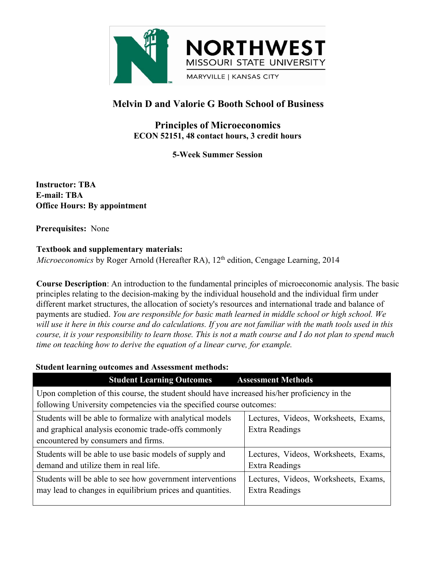

# **Melvin D and Valorie G Booth School of Business**

# **Principles of Microeconomics ECON 52151, 48 contact hours, 3 credit hours**

**5-Week Summer Session**

**Instructor: TBA E-mail: TBA Office Hours: By appointment**

**Prerequisites:** None

### **Textbook and supplementary materials:**

*Microeconomics* by Roger Arnold (Hereafter RA), 12<sup>th</sup> edition, Cengage Learning, 2014

**Course Description**: An introduction to the fundamental principles of microeconomic analysis. The basic principles relating to the decision-making by the individual household and the individual firm under different market structures, the allocation of society's resources and international trade and balance of payments are studied. *You are responsible for basic math learned in middle school or high school. We* will use it here in this course and do calculations. If you are not familiar with the math tools used in this course, it is your responsibility to learn those. This is not a math course and I do not plan to spend much *time on teaching how to derive the equation of a linear curve, for example.* Roger Arnold (Hereafter RA), 12<sup>th</sup> edition, Cengage Learning, 2014<br>
An introduction to the fundamental principles of microeconomic analysis. The basic<br>
the decision-making by the individual household and the individual fi **Course Description:** An introduction to the fundamental principles of microeconomic analysis. The basic<br>principles relating to the decision-making by the individual household and the individual firm under<br>different marke

### **Student learning outcomes and Assessment methods:**

| Course Description: An introduction to the fundamental principles of microeconomic analysis. The basic<br>principles relating to the decision-making by the individual household and the individual firm under<br>different market structures, the allocation of society's resources and international trade and balance of<br>payments are studied. You are responsible for basic math learned in middle school or high school. We<br>will use it here in this course and do calculations. If you are not familiar with the math tools used in this<br>course, it is your responsibility to learn those. This is not a math course and I do not plan to spend much<br>time on teaching how to derive the equation of a linear curve, for example. |                                                               |
|----------------------------------------------------------------------------------------------------------------------------------------------------------------------------------------------------------------------------------------------------------------------------------------------------------------------------------------------------------------------------------------------------------------------------------------------------------------------------------------------------------------------------------------------------------------------------------------------------------------------------------------------------------------------------------------------------------------------------------------------------|---------------------------------------------------------------|
| <b>Student learning outcomes and Assessment methods:</b>                                                                                                                                                                                                                                                                                                                                                                                                                                                                                                                                                                                                                                                                                           |                                                               |
| <b>Student Learning Outcomes</b>                                                                                                                                                                                                                                                                                                                                                                                                                                                                                                                                                                                                                                                                                                                   | <b>Assessment Methods</b>                                     |
| Upon completion of this course, the student should have increased his/her proficiency in the<br>following University competencies via the specified course outcomes:                                                                                                                                                                                                                                                                                                                                                                                                                                                                                                                                                                               |                                                               |
| Students will be able to formalize with analytical models<br>and graphical analysis economic trade-offs commonly<br>encountered by consumers and firms.                                                                                                                                                                                                                                                                                                                                                                                                                                                                                                                                                                                            | Lectures, Videos, Worksheets, Exams,<br><b>Extra Readings</b> |
| Students will be able to use basic models of supply and<br>demand and utilize them in real life.                                                                                                                                                                                                                                                                                                                                                                                                                                                                                                                                                                                                                                                   | Lectures, Videos, Worksheets, Exams,<br><b>Extra Readings</b> |
| Students will be able to see how government interventions<br>may lead to changes in equilibrium prices and quantities.                                                                                                                                                                                                                                                                                                                                                                                                                                                                                                                                                                                                                             | Lectures, Videos, Worksheets, Exams,<br>Extra Readings        |
|                                                                                                                                                                                                                                                                                                                                                                                                                                                                                                                                                                                                                                                                                                                                                    |                                                               |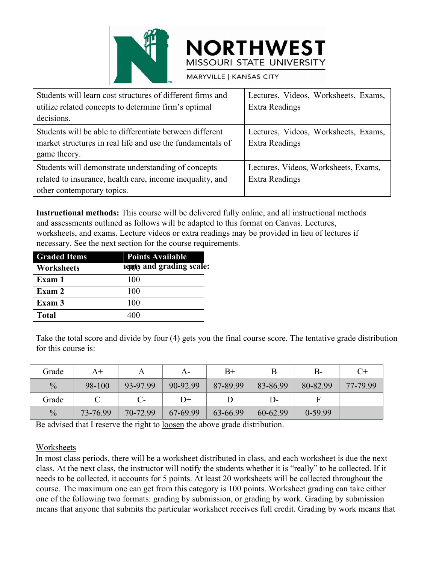

|                                                                                                                                                                                                                                                                                                                                                               | <b>NORTHWEST</b><br>MISSOURI STATE UNIVERSITY                 |
|---------------------------------------------------------------------------------------------------------------------------------------------------------------------------------------------------------------------------------------------------------------------------------------------------------------------------------------------------------------|---------------------------------------------------------------|
| MARYVILLE   KANSAS CITY                                                                                                                                                                                                                                                                                                                                       |                                                               |
| Students will learn cost structures of different firms and<br>utilize related concepts to determine firm's optimal<br>decisions.                                                                                                                                                                                                                              | Lectures, Videos, Worksheets, Exams,<br><b>Extra Readings</b> |
| Students will be able to differentiate between different<br>market structures in real life and use the fundamentals of<br>game theory.                                                                                                                                                                                                                        | Lectures, Videos, Worksheets, Exams,<br><b>Extra Readings</b> |
| Students will demonstrate understanding of concepts<br>related to insurance, health care, income inequality, and<br>other contemporary topics.                                                                                                                                                                                                                | Lectures, Videos, Worksheets, Exams,<br>Extra Readings        |
| Instructional methods: This course will be delivered fully online, and all instructional methods<br>and assessments outlined as follows will be adapted to this format on Canvas. Lectures,<br>worksheets, and exams. Lecture videos or extra readings may be provided in lieu of lectures if<br>necessary. See the next section for the course requirements. |                                                               |
| <b>Graded Items</b><br><b>Points Available</b>                                                                                                                                                                                                                                                                                                                |                                                               |
| <b>IGRASES</b> and grading scale:<br><b>Worksheets</b>                                                                                                                                                                                                                                                                                                        |                                                               |
| Exam 1<br>100                                                                                                                                                                                                                                                                                                                                                 |                                                               |
| Exam 2<br>100                                                                                                                                                                                                                                                                                                                                                 |                                                               |
|                                                                                                                                                                                                                                                                                                                                                               |                                                               |

**Instructional methods:** This course will be delivered fully online, and all instructional methods and assessments outlined as follows will be adapted to this format on Canvas. Lectures, worksheets, and exams. Lecture videos or extra readings may be provided in lieu of lectures if necessary. See the next section for the course requirements. **Instructional methods:** This course will be delivered fully online, and all instructional methods<br>and assessments outlined as follows will be adapted to this format on Canvas. Lectures,<br>worksheets, and exams. Lecture vid

| game theory.                                             |                            |                         |                                                             |    |  |  |
|----------------------------------------------------------|----------------------------|-------------------------|-------------------------------------------------------------|----|--|--|
| Students will demonstrate understanding of concepts      |                            |                         |                                                             |    |  |  |
| related to insurance, health care, income inequality, an |                            |                         |                                                             |    |  |  |
|                                                          | other contemporary topics. |                         |                                                             |    |  |  |
|                                                          |                            |                         |                                                             |    |  |  |
|                                                          |                            |                         | <b>Instructional methods:</b> This course will be delivered |    |  |  |
|                                                          |                            |                         | and assessments outlined as follows will be adapted to      |    |  |  |
|                                                          |                            |                         | worksheets, and exams. Lecture videos or extra readir       |    |  |  |
|                                                          |                            |                         | necessary. See the next section for the course requirent    |    |  |  |
| <b>Graded Items</b>                                      |                            | <b>Points Available</b> |                                                             |    |  |  |
| Worksheets                                               |                            |                         | <b>I duty</b> and grading scale:                            |    |  |  |
| Exam 1                                                   | 100                        |                         |                                                             |    |  |  |
| Exam 2                                                   | 100                        |                         |                                                             |    |  |  |
| Exam 3                                                   | 100                        |                         |                                                             |    |  |  |
| <b>Total</b>                                             | 400                        |                         |                                                             |    |  |  |
|                                                          |                            |                         |                                                             |    |  |  |
|                                                          |                            |                         | Take the total score and divide by four (4) gets you the    |    |  |  |
| for this course is:                                      |                            |                         |                                                             |    |  |  |
|                                                          |                            |                         |                                                             |    |  |  |
| Grade                                                    | $A+$                       | A                       | $A -$                                                       |    |  |  |
| $\frac{0}{0}$                                            | 98-100                     | 93-97.99                | 90-92.99                                                    | 87 |  |  |

| Exam 3              |               | 100          |          |                                                                                                                                                                                                                                                                                                                                                                                                                                                                                                                                                     |          |           |          |
|---------------------|---------------|--------------|----------|-----------------------------------------------------------------------------------------------------------------------------------------------------------------------------------------------------------------------------------------------------------------------------------------------------------------------------------------------------------------------------------------------------------------------------------------------------------------------------------------------------------------------------------------------------|----------|-----------|----------|
| <b>Total</b>        | 400           |              |          |                                                                                                                                                                                                                                                                                                                                                                                                                                                                                                                                                     |          |           |          |
| for this course is: |               |              |          | Take the total score and divide by four (4) gets you the final course score. The tentative grade distribution                                                                                                                                                                                                                                                                                                                                                                                                                                       |          |           |          |
| Grade               | $A+$          | $\mathbf{A}$ | $A-$     | $B+$                                                                                                                                                                                                                                                                                                                                                                                                                                                                                                                                                | B        | $B -$     | $C+$     |
| $\frac{0}{0}$       | 98-100        | 93-97.99     | 90-92.99 | 87-89.99                                                                                                                                                                                                                                                                                                                                                                                                                                                                                                                                            | 83-86.99 | 80-82.99  | 77-79.99 |
| Grade               | $\mathcal{C}$ | $C-$         | $D+$     | D                                                                                                                                                                                                                                                                                                                                                                                                                                                                                                                                                   | $D-$     | F         |          |
| $\frac{0}{0}$       | 73-76.99      | 70-72.99     | 67-69.99 | 63-66.99                                                                                                                                                                                                                                                                                                                                                                                                                                                                                                                                            | 60-62.99 | $0-59.99$ |          |
|                     |               |              |          | Be advised that I reserve the right to loosen the above grade distribution.                                                                                                                                                                                                                                                                                                                                                                                                                                                                         |          |           |          |
| Worksheets          |               |              |          | In most class periods, there will be a worksheet distributed in class, and each worksheet is due the next<br>class. At the next class, the instructor will notify the students whether it is "really" to be collected. If it<br>needs to be collected, it accounts for 5 points. At least 20 worksheets will be collected throughout the<br>course. The maximum one can get from this category is 100 points. Worksheet grading can take either<br>one of the following two formats: grading by submission or grading by work Grading by submission |          |           |          |

# **Worksheets**

for this course is:<br>  $\frac{64}{98-100}$   $\frac{44}{93-79.99}$   $\frac{44}{99-92.99}$   $\frac{87-89.99}{87-89.99}$   $\frac{83-86.99}{80-82.99}$   $\frac{80-82.99}{77-79.99}$ <br>  $\frac{64}{99}$   $\frac{73-76.99}{73-76.99}$   $\frac{70-72.99}{70-72.99}$   $\frac{67-69.99}{63$ Grade  $A+$  A  $B+$  B  $B-$  C+<br>  $\%$  98-100 93-97.99 90-92.99 87-89.99 83-86.99 80-82.99 77-79.99<br>
Grade C C-  $D+$  D  $D-$  F<br>  $\%$  73-76.99 70-72.99 67-69.99 63-66.99 60-62.99 0-59.99<br>
Be advised that I reserve the right to <u></u> Grade A+ A A- B+ B B- C+<br>  $%$  98-100 93-97.99 90-92.99 87-89.99 83-86.99 80-82.99 77-79.99<br>
Grade C C- D+ D D- F<br>  $%$  73-76.99 70-72.99 67-69.99 63-66.99 60-62.99 0-59.99<br>
Be advised that I reserve the right to <u>loosen</u> t orade  $A + A + A + B + B + C + C$ <br>  $\%$  08-100 93-97.99 90-92.99 87-89.99 83-86.99 80-82.99 77-79.99 6<br>
Grade C  $\%$  73-76.99 70-72.99 67-69.99 63-66.99 60-62.99 0-59.99 Be advised that I reserve the right to <u>loosen</u> the above grade <sup>96</sup> 98-100 93-97.99 90-92.99 87-89.99 83-86.99 80-82.99 77-79.99 Grade C C- D+ D D- F  $\%$  73-76.99 70-72.99 67-69.99 63-66.99 60-62.99 0-59.99 Be advised that I reserve the right to <u>loosen</u> the above grade distribution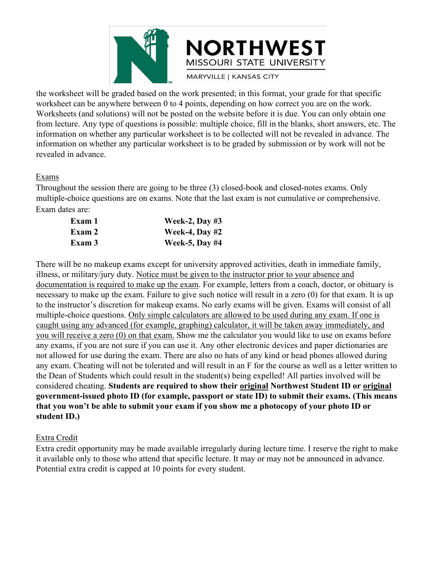

THE WEST<br>
THE WEST MISSOURI STATE UNIVERSITY<br>
THE WORKSHEET WORKSHEET WAS MARYVILLE I KANSAS CITY<br>
WORKSHEET CAN THE UNIVERSITY<br>
THE WORKSHEET CAN THE WORKSHEET AND SERVE TO THE WORKSHEET AND SURFACT ON THE WORKSHEET AND S WORTHWEST<br>
MISSOURI STATE UNIVERSITY<br>
MISSOURI STATE UNIVERSITY<br>
MARYVILLE | KANSAS CITY<br>
WORK SECTY<br>
WORK SECTY<br>
WORK SECTY<br>
WORK SECTY<br>
WORK SECTY<br>
WORK SECTY<br>
WORK SECTY<br>
WORK SECTY<br>
WORK SECTY<br>
WORK SECTY<br>
WORK SECTY<br> MORTHWEST<br>
MISSOURI STATE UNIVERSITY<br>
MARYVILLE | KANSAS CITY<br>
WORKSHERE WORKSHERE (and solutions) will not be posted on the website before it is due. You are on the work.<br>
Worksheets (and solutions) will not be posted on FROW THE WEST MISSOURI STATE UNIVERSITY MISSOURI STATE UNIVERSITY MARYVILLE | KANSAS CITY WORKSheet can be anywhere between 0 to 4 points, depending on how correct you are on the work. Worksheets (and solutions) will not b **INSOURI STATE UNIVERSITY**<br>the worksheet will be graded based on the work presented; in this format, your grade for that specific<br>worksheet can be anywhere between 0 to 4 points, depending on how correct you are on the wor **INFORTHWESTTY**<br>
MISSOURI STATE UNIVERSITY<br>
the worksheet can be anywhere between 0 to 4 points, depending on how correct you are on that specific<br>
worksheets (and solutions) will not be posted on the website before it is MISS<br>
WISS<br>
the worksheet will be graded based on the work pr<br>
worksheets (and solutions) will not be posted on the<br>
from lecture. Any type of questions is possible: m<br>
information on whether any particular worksheet is<br>
r MISSOURI STATE UNIVERSITY<br>
the worksheet will be graded based on the work presented; in this format, your grade for that specific<br>
worksheet can be anywhere between 0 to 4 points, depending on how correct you are on the w MARYVILLE | KANSAS CITY<br>
the worksheet can be anywhere between 0 to 4 points, depending on how correct you are on the work.<br>
Worksheets (and solutions) will not be posted on the website tebre it is due. You can only obtai the worksheet will be graded based on the work pro<br>
worksheet can be anywhere between 0 to 4 points,<br>
Worksheets (and solutions) will not be posted on th<br>
from lecture. Any type of questions is possible: mu<br>
information on the an be anywhere between 0 to 4 points, depending on how correct you are on the states of the anywhere between 0 to 4 points, depending on how correct you are on the states (and solutions) will not be posted on the websi **Exam 1 Week-2, Day #3**<br> **Exam 3 Week-4, Day #2**<br> **Exam 3 Week-5, Day #4**<br> **Exam 3 Week-5, Day #4**<br> **Exam 3 Week-5, Day #4**<br> **Exam 3 Week-5, Day #4**<br> **Exam 3 Week-5, Day #4**<br> **Exam 3 Week-5, Day #4**<br> **Exam Exam 3 Exam 3 Exam 3 Exam 3 Exam 3 Exam 3 Exam 2 Exam 2 Exam 2 Exam 3 Exam 3 Exam 3 Exam 3 Exam 3 Exam 3 Exam 3 Exam 3 Exam 3 Exam 3 Exam 3 Exam 3 Exam 3 Exam 3 Exam 3 Exam** 

#### Exams

| Exam 1 | Week-2, Day $#3$      |
|--------|-----------------------|
| Exam 2 | <b>Week-4, Day #2</b> |
| Exam 3 | <b>Week-5, Day #4</b> |

information on whether any particular worksheet is to be graded by submission or by work will not be<br>revealed in advance.<br>Exams<br>Throughout the session there are going to be three (3) closed-book and closed-notes exams. On is<br> **Exams**<br> **Exams**<br> **Exams**<br> **Exam ates signs there are going to be three (3) closed-book and closed-notes exams. Only<br>
<b>Exam dates are:**<br> **Exam dates are:**<br> **Exam 12**<br> **Week-2, Day #3**<br> **Week-4, Day #2**<br> **Week-5, Day #** Exams<br>
Hroughout the session there are going to be three (3) closed-book and closed-notes exams. Only<br>
multiple-choice questions are on exams. Note that the last exam is not cumulative or comprehensive.<br>
Exam a lates are: Exams<br>
Throughout the session there are going to be three (3) closed-book and closed-notes exams. Only<br>
multiple-choice questions are on exams. Note that the last exam is not cumulative or comprehensive.<br>
Exam data:<br> **Exa** Exams<br>
Exam the session there are going to be three (3) closed-book and closed-notes exams. Only<br>
multiple-choice questions are on exams. Note that the last exam is not cumulative or comprehensive.<br>
Exam dates are:<br> **Exam** In troughout the session there are going to be three (3) closed-book and closed-notes exams. Only multiple-choice questions are on exams. Note that the last exam is not cumulative or comprehensive.<br>
Exam allows are:<br> **Exa** mumple-choice questions are on exams. Note that the last exam is not cumulative or comprehensive.<br>
Exam data are:<br> **Exam 1** Week-2, Day #3<br>
Week-3, Day #2<br>
There will be no makeup exams except for university approved acti Exam dates are:<br> **Exam 2** Week-4, Day #3<br> **Exam 2** Week-4, Day #2<br> **Exam 3** Week-4, Day #2<br>
There will be no makeup exams except for university approved activities, death in immediate family,<br>
illness, or military/jury du **Exam 1**<br> **Exam 2**<br> **Exam 3**<br> **Exam 3**<br> **Exam 3**<br> **Exam 3**<br> **Exam 3**<br> **Exam 3**<br> **Exam 3**<br> **Exam 3**<br> **Exam 3**<br> **Exam 3**<br> **Exam 3**<br> **Exam 3**<br> **Exam 44**<br> **Exam 44**<br> **Exam 10**<br> **Exam 10**<br> **Exam 10**<br> **Exam 10**<br> **Exam 10**<br> **Exa Exam 2** Week-4, Day #2<br> **Exam 3** Week-5, Day #4<br>
There will be no makeup exams except for university approved activities, death in immediate family,<br>
illness, or military/jury duty. Notice must be given to the instructor **Exam 3** Week-5, Day #4<br>There will be no makeup exams except for university approved activities, death in immediate family,<br>illness, or military/jury duty. <u>Notice must be given to the instructor prior to your absence and</u> There will be no makeup exams except for university approved activities, death in immediate family, illness, or military/jury duty. Notice must be given to the instructor prior to your absence and documentation is required There will be no makeup exams except for university approved activities, death in immediate family, illness, or military/jury duty. <u>Notice must be given to the instructor prior to your absence and documentation is require</u> illness, or military/jury duty. <u>Notice must be given to the instructor prior to your absence and<br>documentation is required to make up the exam. For example, letters from a coach, doctor, or obituary is<br>necessary to make u</u> documentation is required to make up the exam. For example, letters from a coach, doctor, or obituary is necessary to make up the exam. Failure to give such notice will result in a zero (0) for that exam. It is up to the i necessary to make up the exam. Failure to give<br>to the instructor's discretion for makeup exams<br>multiple-choice questions. <u>Only simple calculated</u><br>caught using any advanced (for example, graph<br>you will receive a zero (0) o multiple-choice questions. Only simple calcu<br>caught using any advanced (for example, gra<br>you will receive a zero (0) on that exam. Sho<br>any exams, if you are not sure if you can use<br>not allowed for use during the exam. Ther caught using any advanced (for example, graphing) calculator, it will be taken away immediately, and<br>you will receive a zero (0) on that exam. Show me the calculator you would like to use on exams before<br>any exams, if you you will receive a zero (0) on that exam. Show me the calculator you would like to use on exams before any exams, if you are not sure if you can use it. Any other electronic devices and paper dictionaries are not allowed f any exams, if you are not sure if you can use it. Any other electronic devices and paper diction at allowed for use during the exam. There are also no hats of any kind or head phones allow<br>any exam. Cheating will not be to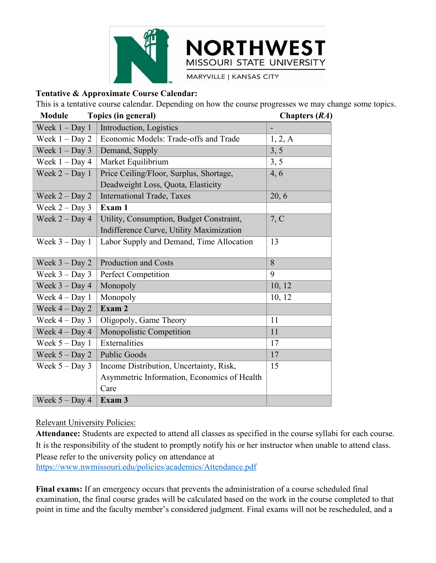



**Final exams:** If an emergency occurs that prevents of Health<br> **Final exams:** The Exam 3<br> **Final exams:** Interestive Policies:<br> **Figure 1.1** Exams 3<br> **Exams:** If an emergency of the student to promptly notify his or her in **Examination, Economics of Health**<br>
Care<br>
Relevant University Policies:<br> **Attendance:** Students are expected to attend all classes as specified in the course syllabi for each course.<br>
It is the responsibility of the studen Care<br>
Relevant University Policies:<br> **Attendance:** Students are expected to attend all classes as specified in the course syllabi for each course.<br>
It is the responsibility of the student to promptly notify his or her inst